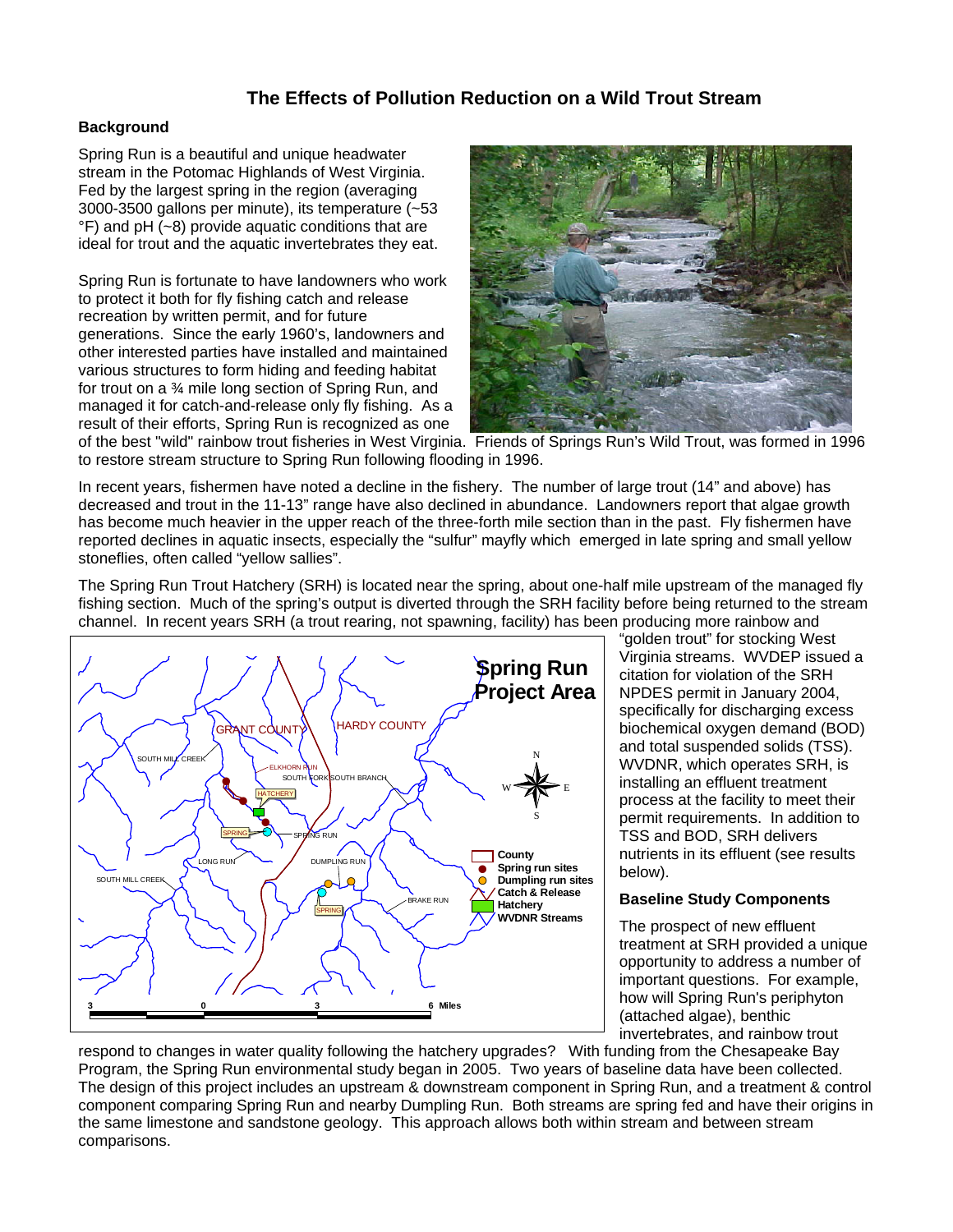# **The Effects of Pollution Reduction on a Wild Trout Stream**

## **Background**

Spring Run is a beautiful and unique headwater stream in the Potomac Highlands of West Virginia. Fed by the largest spring in the region (averaging 3000-3500 gallons per minute), its temperature (~53 °F) and pH (~8) provide aquatic conditions that are ideal for trout and the aquatic invertebrates they eat.

Spring Run is fortunate to have landowners who work to protect it both for fly fishing catch and release recreation by written permit, and for future generations. Since the early 1960's, landowners and other interested parties have installed and maintained various structures to form hiding and feeding habitat for trout on a ¾ mile long section of Spring Run, and managed it for catch-and-release only fly fishing. As a result of their efforts, Spring Run is recognized as one



of the best "wild" rainbow trout fisheries in West Virginia. Friends of Springs Run's Wild Trout, was formed in 1996 to restore stream structure to Spring Run following flooding in 1996.

In recent years, fishermen have noted a decline in the fishery. The number of large trout (14" and above) has decreased and trout in the 11-13" range have also declined in abundance. Landowners report that algae growth has become much heavier in the upper reach of the three-forth mile section than in the past. Fly fishermen have reported declines in aquatic insects, especially the "sulfur" mayfly which emerged in late spring and small yellow stoneflies, often called "yellow sallies".

The Spring Run Trout Hatchery (SRH) is located near the spring, about one-half mile upstream of the managed fly fishing section. Much of the spring's output is diverted through the SRH facility before being returned to the stream channel. In recent years SRH (a trout rearing, not spawning, facility) has been producing more rainbow and



"golden trout" for stocking West Virginia streams. WVDEP issued a citation for violation of the SRH NPDES permit in January 2004, specifically for discharging excess biochemical oxygen demand (BOD) and total suspended solids (TSS). WVDNR, which operates SRH, is installing an effluent treatment process at the facility to meet their permit requirements. In addition to TSS and BOD, SRH delivers nutrients in its effluent (see results below).

#### **Baseline Study Components**

The prospect of new effluent treatment at SRH provided a unique opportunity to address a number of important questions. For example, how will Spring Run's periphyton (attached algae), benthic invertebrates, and rainbow trout

respond to changes in water quality following the hatchery upgrades? With funding from the Chesapeake Bay Program, the Spring Run environmental study began in 2005. Two years of baseline data have been collected. The design of this project includes an upstream & downstream component in Spring Run, and a treatment & control component comparing Spring Run and nearby Dumpling Run. Both streams are spring fed and have their origins in the same limestone and sandstone geology. This approach allows both within stream and between stream comparisons.